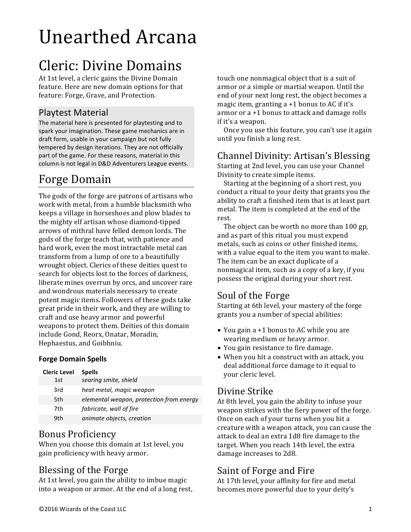# Unearthed Arcana

# Cleric: Divine Domains

At 1st level, a cleric gains the Divine Domain feature. Here are new domain options for that feature: Forge, Grave, and Protection.

#### Playtest Material

The material here is presented for playtesting and to spark your imagination. These game mechanics are in draft form, usable in your campaign but not fully tempered by design iterations. They are not officially part of the game. For these reasons, material in this column is not legal in D&D Adventurers League events.

## Forge Domain

The gods of the forge are patrons of artisans who work with metal, from a humble blacksmith who keeps a village in horseshoes and plow blades to the mighty elf artisan whose diamond-tipped arrows of mithral have felled demon lords. The gods of the forge teach that, with patience and hard work, even the most intractable metal can transform from a lump of ore to a beautifully wrought object. Clerics of these deities quest to search for objects lost to the forces of darkness, liberate mines overrun by orcs, and uncover rare and wondrous materials necessary to create potent magic items. Followers of these gods take great pride in their work, and they are willing to craft and use heavy armor and powerful weapons to protect them. Deities of this domain include Gond, Reorx, Onatar, Moradin, Hephaestus, and Goibhniu.

#### **Forge Domain Spells**

| Cleric Level | <b>Spells</b>                            |
|--------------|------------------------------------------|
| 1st          | searing smite, shield                    |
| 3rd          | heat metal, magic weapon                 |
| 5th          | elemental weapon, protection from energy |
| 7th          | fabricate, wall of fire                  |
| 9th          | animate objects, creation                |

#### Bonus Proficiency

When you choose this domain at 1st level, you gain proficiency with heavy armor.

#### Blessing of the Forge

At 1st level, you gain the ability to imbue magic into a weapon or armor. At the end of a long rest, touch one nonmagical object that is a suit of armor or a simple or martial weapon. Until the end of your next long rest, the object becomes a magic item, granting  $a + 1$  bonus to AC if it's armor or  $a + 1$  bonus to attack and damage rolls if it's a weapon.

Once you use this feature, you can't use it again until you finish a long rest.

#### Channel Divinity: Artisan's Blessing

Starting at 2nd level, you can use your Channel Divinity to create simple items.

Starting at the beginning of a short rest, you conduct a ritual to your deity that grants you the ability to craft a finished item that is at least part metal. The item is completed at the end of the rest.

The object can be worth no more than 100 gp, and as part of this ritual you must expend metals, such as coins or other finished items, with a value equal to the item you want to make. The item can be an exact duplicate of a nonmagical item, such as a copy of a key, if you possess the original during your short rest.

#### Soul of the Forge

Starting at 6th level, your mastery of the forge grants you a number of special abilities:

- You gain a +1 bonus to AC while you are wearing medium or heavy armor.
- You gain resistance to fire damage.
- When you hit a construct with an attack, you deal additional force damage to it equal to your cleric level.

#### Divine Strike

At 8th level, you gain the ability to infuse your weapon strikes with the fiery power of the forge. Once on each of your turns when you hit a creature with a weapon attack, you can cause the attack to deal an extra 1d8 fire damage to the target. When you reach 14th level, the extra damage increases to 2d8.

#### Saint of Forge and Fire

At 17th level, your affinity for fire and metal becomes more powerful due to your deity's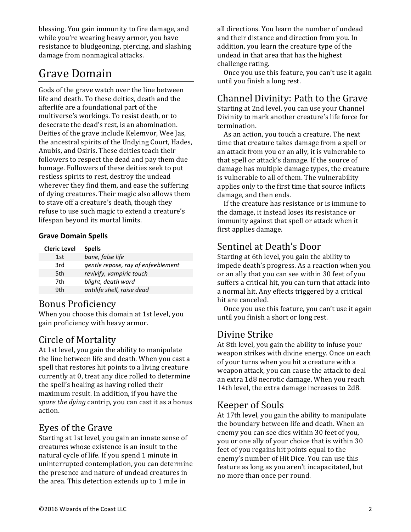blessing. You gain immunity to fire damage, and while you're wearing heavy armor, you have resistance to bludgeoning, piercing, and slashing damage from nonmagical attacks.

## Grave Domain

Gods of the grave watch over the line between life and death. To these deities, death and the afterlife are a foundational part of the multiverse's workings. To resist death, or to desecrate the dead's rest, is an abomination. Deities of the grave include Kelemvor, Wee Jas, the ancestral spirits of the Undying Court, Hades, Anubis, and Osiris. These deities teach their followers to respect the dead and pay them due homage. Followers of these deities seek to put restless spirits to rest, destroy the undead wherever they find them, and ease the suffering of dying creatures. Their magic also allows them to stave off a creature's death, though they refuse to use such magic to extend a creature's lifespan beyond its mortal limits.

#### **Grave Domain Spells**

| <b>Cleric Level</b> | <b>Spells</b>                      |
|---------------------|------------------------------------|
| 1st                 | bane, false life                   |
| 3rd                 | gentle repose, ray of enfeeblement |
| 5th                 | revivify, vampiric touch           |
| 7th                 | blight, death ward                 |
| 9th                 | antilife shell, raise dead         |
|                     |                                    |

#### **Bonus Proficiency**

When you choose this domain at 1st level, you gain proficiency with heavy armor.

#### Circle of Mortality

At 1st level, you gain the ability to manipulate the line between life and death. When you cast a spell that restores hit points to a living creature currently at 0, treat any dice rolled to determine the spell's healing as having rolled their maximum result. In addition, if you have the *spare the dying* cantrip, you can cast it as a bonus action.

#### Eyes of the Grave

Starting at 1st level, you gain an innate sense of creatures whose existence is an insult to the natural cycle of life. If you spend 1 minute in uninterrupted contemplation, you can determine the presence and nature of undead creatures in the area. This detection extends up to 1 mile in

all directions. You learn the number of undead and their distance and direction from you. In addition, you learn the creature type of the undead in that area that has the highest challenge rating.

Once you use this feature, you can't use it again until you finish a long rest.

#### Channel Divinity: Path to the Grave

Starting at 2nd level, you can use your Channel Divinity to mark another creature's life force for termination.

As an action, you touch a creature. The next time that creature takes damage from a spell or an attack from you or an ally, it is vulnerable to that spell or attack's damage. If the source of damage has multiple damage types, the creature is vulnerable to all of them. The vulnerability applies only to the first time that source inflicts damage, and then ends.

If the creature has resistance or is immune to the damage, it instead loses its resistance or immunity against that spell or attack when it first applies damage.

#### Sentinel at Death's Door

Starting at 6th level, you gain the ability to impede death's progress. As a reaction when you or an ally that you can see within 30 feet of you suffers a critical hit, you can turn that attack into a normal hit. Any effects triggered by a critical hit are canceled.

Once you use this feature, you can't use it again until you finish a short or long rest.

#### Divine Strike

At 8th level, you gain the ability to infuse your weapon strikes with divine energy. Once on each of your turns when you hit a creature with a weapon attack, you can cause the attack to deal an extra 1d8 necrotic damage. When you reach 14th level, the extra damage increases to 2d8.

#### Keeper of Souls

At 17th level, you gain the ability to manipulate the boundary between life and death. When an enemy you can see dies within 30 feet of you, you or one ally of your choice that is within 30 feet of you regains hit points equal to the enemy's number of Hit Dice. You can use this feature as long as you aren't incapacitated, but no more than once per round.